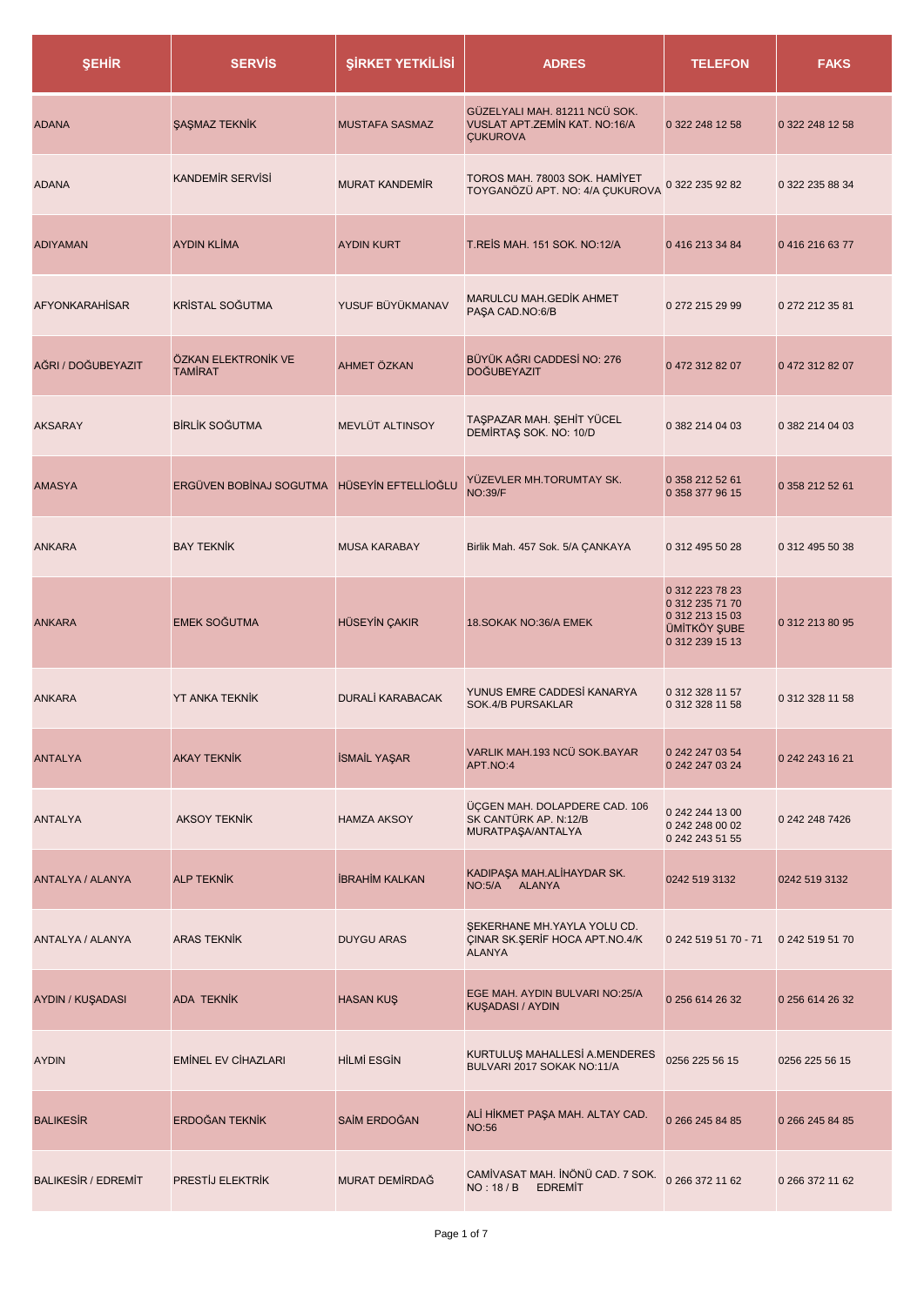| <b>ŞEHİR</b>               | <b>SERVIS</b>                         | <b>ŞİRKET YETKİLİSİ</b> | <b>ADRES</b>                                                                      | <b>TELEFON</b>                                                                                  | <b>FAKS</b>     |
|----------------------------|---------------------------------------|-------------------------|-----------------------------------------------------------------------------------|-------------------------------------------------------------------------------------------------|-----------------|
| <b>ADANA</b>               | <b>ŞAŞMAZ TEKNİK</b>                  | <b>MUSTAFA SASMAZ</b>   | GÜZELYALI MAH. 81211 NCÜ SOK.<br>VUSLAT APT.ZEMİN KAT. NO:16/A<br><b>ÇUKUROVA</b> | 0 322 248 12 58                                                                                 | 0 322 248 12 58 |
| <b>ADANA</b>               | <b>KANDEMIR SERVISI</b>               | <b>MURAT KANDEMIR</b>   | TOROS MAH. 78003 SOK. HAMİYET<br>TOYGANÖZÜ APT. NO: 4/A ÇUKUROVA                  | 0 322 235 92 82                                                                                 | 0 322 235 88 34 |
| <b>ADIYAMAN</b>            | <b>AYDIN KLİMA</b>                    | <b>AYDIN KURT</b>       | T.REIS MAH. 151 SOK. NO:12/A                                                      | 04162133484                                                                                     | 04162166377     |
| <b>AFYONKARAHISAR</b>      | <b>KRİSTAL SOĞUTMA</b>                | YUSUF BÜYÜKMANAV        | <b>MARULCU MAH.GEDİK AHMET</b><br>PAŞA CAD.NO:6/B                                 | 0 272 215 29 99                                                                                 | 0 272 212 35 81 |
| AĞRI / DOĞUBEYAZIT         | ÖZKAN ELEKTRONİK VE<br><b>TAMIRAT</b> | AHMET ÖZKAN             | BÜYÜK AĞRI CADDESİ NO: 276<br><b>DOĞUBEYAZIT</b>                                  | 04723128207                                                                                     | 0 472 312 82 07 |
| <b>AKSARAY</b>             | <b>BİRLİK SOĞUTMA</b>                 | MEVLÜT ALTINSOY         | TAŞPAZAR MAH. ŞEHİT YÜCEL<br>DEMİRTAŞ SOK. NO: 10/D                               | 0 382 214 04 03                                                                                 | 0 382 214 04 03 |
| <b>AMASYA</b>              | ERGÜVEN BOBİNAJ SOGUTMA               | HÜSEYİN EFTELLİOĞLU     | YÜZEVLER MH.TORUMTAY SK.<br><b>NO:39/F</b>                                        | 0 358 212 52 61<br>0 358 377 96 15                                                              | 0 358 212 52 61 |
| <b>ANKARA</b>              | <b>BAY TEKNİK</b>                     | <b>MUSA KARABAY</b>     | Birlik Mah. 457 Sok. 5/A ÇANKAYA                                                  | 0 312 495 50 28                                                                                 | 0 312 495 50 38 |
| <b>ANKARA</b>              | <b>EMEK SOĞUTMA</b>                   | <b>HÜSEYİN ÇAKIR</b>    | 18.SOKAK NO:36/A EMEK                                                             | 0 312 223 78 23<br>0 312 235 71 70<br>0 312 213 15 03<br><b>ÜMİTKÖY ŞUBE</b><br>0 312 239 15 13 | 0 312 213 80 95 |
| <b>ANKARA</b>              | <b>YT ANKA TEKNIK</b>                 | <b>DURALİ KARABACAK</b> | YUNUS EMRE CADDESİ KANARYA<br>SOK.4/B PURSAKLAR                                   | 0 312 328 11 57<br>0 312 328 11 58                                                              | 0 312 328 11 58 |
| <b>ANTALYA</b>             | <b>AKAY TEKNIK</b>                    | <b>İSMAİL YAŞAR</b>     | VARLIK MAH.193 NCÜ SOK.BAYAR<br>APT.NO:4                                          | 0 242 247 03 54<br>0 242 247 03 24                                                              | 0 242 243 16 21 |
| <b>ANTALYA</b>             | <b>AKSOY TEKNİK</b>                   | <b>HAMZA AKSOY</b>      | ÜÇGEN MAH. DOLAPDERE CAD. 106<br>SK CANTÜRK AP. N:12/B<br>MURATPAŞA/ANTALYA       | 0 242 244 13 00<br>0 242 248 00 02<br>0 242 243 51 55                                           | 0 242 248 7426  |
| ANTALYA / ALANYA           | <b>ALP TEKNIK</b>                     | <b>İBRAHİM KALKAN</b>   | KADIPAŞA MAH.ALİHAYDAR SK.<br>NO:5/A ALANYA                                       | 0242 519 3132                                                                                   | 0242 519 3132   |
| ANTALYA / ALANYA           | <b>ARAS TEKNIK</b>                    | <b>DUYGU ARAS</b>       | ŞEKERHANE MH.YAYLA YOLU CD.<br>ÇINAR SK.ŞERİF HOCA APT.NO.4/K<br><b>ALANYA</b>    | 0 242 519 51 70 - 71                                                                            | 0 242 519 51 70 |
| AYDIN / KUŞADASI           | <b>ADA TEKNİK</b>                     | <b>HASAN KUŞ</b>        | EGE MAH. AYDIN BULVARI NO:25/A<br>KUŞADASI / AYDIN                                | 0 256 614 26 32                                                                                 | 0 256 614 26 32 |
| <b>AYDIN</b>               | <b>EMINEL EV CIHAZLARI</b>            | <b>HİLMİ ESGİN</b>      | KURTULUŞ MAHALLESİ A.MENDERES<br>BULVARI 2017 SOKAK NO:11/A                       | 0256 225 56 15                                                                                  | 0256 225 56 15  |
| <b>BALIKESIR</b>           | ERDOĞAN TEKNİK                        | SAİM ERDOĞAN            | ALİ HİKMET PAŞA MAH. ALTAY CAD.<br><b>NO:56</b>                                   | 0 266 245 84 85                                                                                 | 0 266 245 84 85 |
| <b>BALIKESIR / EDREMIT</b> | PRESTIJ ELEKTRIK                      | MURAT DEMÍRDAĞ          | CAMİVASAT MAH. İNÖNÜ CAD. 7 SOK.<br>NO: 18 / B<br><b>EDREMIT</b>                  | 0 266 372 11 62                                                                                 | 0 266 372 11 62 |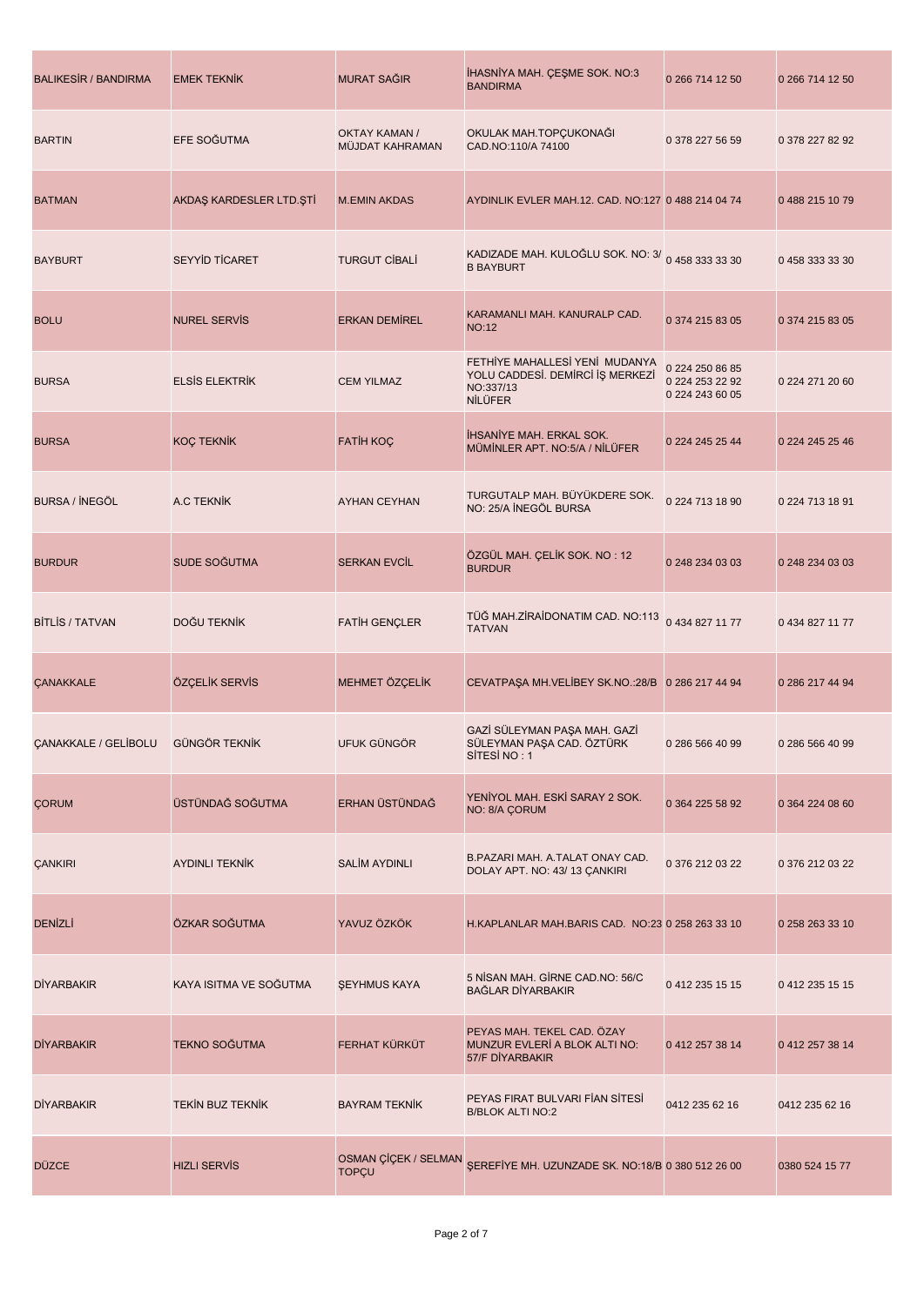| <b>BALIKESIR / BANDIRMA</b> | <b>EMEK TEKNİK</b>      | <b>MURAT SAĞIR</b>                      | IHASNIYA MAH. ÇEŞME SOK. NO:3<br><b>BANDIRMA</b>                                                  | 0 266 714 12 50                                       | 0 266 714 12 50 |
|-----------------------------|-------------------------|-----------------------------------------|---------------------------------------------------------------------------------------------------|-------------------------------------------------------|-----------------|
| <b>BARTIN</b>               | EFE SOĞUTMA             | <b>OKTAY KAMAN /</b><br>MÜJDAT KAHRAMAN | OKULAK MAH.TOPÇUKONAĞI<br>CAD.NO:110/A 74100                                                      | 0 378 227 56 59                                       | 0 378 227 82 92 |
| <b>BATMAN</b>               | AKDAŞ KARDESLER LTD.ŞTİ | <b>M.EMIN AKDAS</b>                     | AYDINLIK EVLER MAH.12. CAD. NO:127 0 488 214 04 74                                                |                                                       | 04882151079     |
| <b>BAYBURT</b>              | <b>SEYYİD TİCARET</b>   | <b>TURGUT CIBALI</b>                    | KADIZADE MAH. KULOĞLU SOK. NO: 3/ 0 458 333 33 30<br><b>B BAYBURT</b>                             |                                                       | 04583333330     |
| <b>BOLU</b>                 | <b>NUREL SERVIS</b>     | <b>ERKAN DEMIREL</b>                    | KARAMANLI MAH. KANURALP CAD.<br><b>NO:12</b>                                                      | 0 374 215 83 05                                       | 0 374 215 83 05 |
| <b>BURSA</b>                | <b>ELSIS ELEKTRIK</b>   | <b>CEM YILMAZ</b>                       | FETHIYE MAHALLESİ YENİ MUDANYA<br>YOLU CADDESİ. DEMİRCİ İŞ MERKEZİ<br>NO:337/13<br><b>NİLÜFER</b> | 0 224 250 86 85<br>0 224 253 22 92<br>0 224 243 60 05 | 0 224 271 20 60 |
| <b>BURSA</b>                | <b>KOÇ TEKNİK</b>       | <b>FATIH KOÇ</b>                        | <b>IHSANIYE MAH. ERKAL SOK.</b><br>MÜMİNLER APT. NO:5/A / NİLÜFER                                 | 0 224 245 25 44                                       | 0 224 245 25 46 |
| BURSA / INEGÖL              | A.C TEKNIK              | <b>AYHAN CEYHAN</b>                     | TURGUTALP MAH. BÜYÜKDERE SOK.<br>NO: 25/A İNEGÖL BURSA                                            | 0 224 713 18 90                                       | 0 224 713 18 91 |
| <b>BURDUR</b>               | SUDE SOĞUTMA            | <b>SERKAN EVCIL</b>                     | ÖZGÜL MAH. ÇELİK SOK. NO: 12<br><b>BURDUR</b>                                                     | 0 248 234 03 03                                       | 0 248 234 03 03 |
| <b>BITLIS / TATVAN</b>      | DOĞU TEKNİK             | <b>FATIH GENÇLER</b>                    | TÜĞ MAH.ZİRAİDONATIM CAD. NO:113<br><b>TATVAN</b>                                                 | 0 434 827 11 77                                       | 0 434 827 11 77 |
| <b>ÇANAKKALE</b>            | ÖZÇELİK SERVİS          | MEHMET ÖZÇELİK                          | CEVATPAŞA MH.VELİBEY SK.NO.:28/B 0 286 217 44 94                                                  |                                                       | 0 286 217 44 94 |
| <b>ÇANAKKALE / GELÍBOLU</b> | <b>GÜNGÖR TEKNİK</b>    | UFUK GÜNGÖR                             | GAZİ SÜLEYMAN PAŞA MAH. GAZİ<br>SÜLEYMAN PAŞA CAD. ÖZTÜRK<br>SITESI NO: 1                         | 0 286 566 40 99                                       | 0 286 566 40 99 |
| <b>CORUM</b>                | ÜSTÜNDAĞ SOĞUTMA        | ERHAN ÜSTÜNDAĞ                          | YENİYOL MAH. ESKİ SARAY 2 SOK.<br>NO: 8/A ÇORUM                                                   | 0 364 225 58 92                                       | 0 364 224 08 60 |
| <b>ÇANKIRI</b>              | <b>AYDINLI TEKNİK</b>   | <b>SALİM AYDINLI</b>                    | B.PAZARI MAH. A.TALAT ONAY CAD.<br>DOLAY APT. NO: 43/13 ÇANKIRI                                   | 0 376 212 03 22                                       | 0 376 212 03 22 |
| <b>DENİZLİ</b>              | ÖZKAR SOĞUTMA           | YAVUZ ÖZKÖK                             | H.KAPLANLAR MAH.BARIS CAD. NO:23 0 258 263 33 10                                                  |                                                       | 0 258 263 33 10 |
| <b>DİYARBAKIR</b>           | KAYA ISITMA VE SOĞUTMA  | <b>ŞEYHMUS KAYA</b>                     | 5 NİSAN MAH. GİRNE CAD.NO: 56/C<br><b>BAĞLAR DİYARBAKIR</b>                                       | 0 412 235 15 15                                       | 0 412 235 15 15 |
| <b>DİYARBAKIR</b>           | <b>TEKNO SOĞUTMA</b>    | FERHAT KÜRKÜT                           | PEYAS MAH. TEKEL CAD. ÖZAY<br>MUNZUR EVLERÍ A BLOK ALTI NO:<br>57/F DİYARBAKIR                    | 0 412 257 38 14                                       | 0 412 257 38 14 |
| <b>DİYARBAKIR</b>           | <b>TEKIN BUZ TEKNIK</b> | <b>BAYRAM TEKNIK</b>                    | PEYAS FIRAT BULVARI FIAN SITESI<br><b>B/BLOK ALTI NO:2</b>                                        | 0412 235 62 16                                        | 0412 235 62 16  |
| <b>DÜZCE</b>                | <b>HIZLI SERVIS</b>     | <b>TOPÇU</b>                            | OSMAN ÇİÇEK / SELMAN SEREFİYE MH. UZUNZADE SK. NO:18/B 0 380 512 26 00                            |                                                       | 0380 524 15 77  |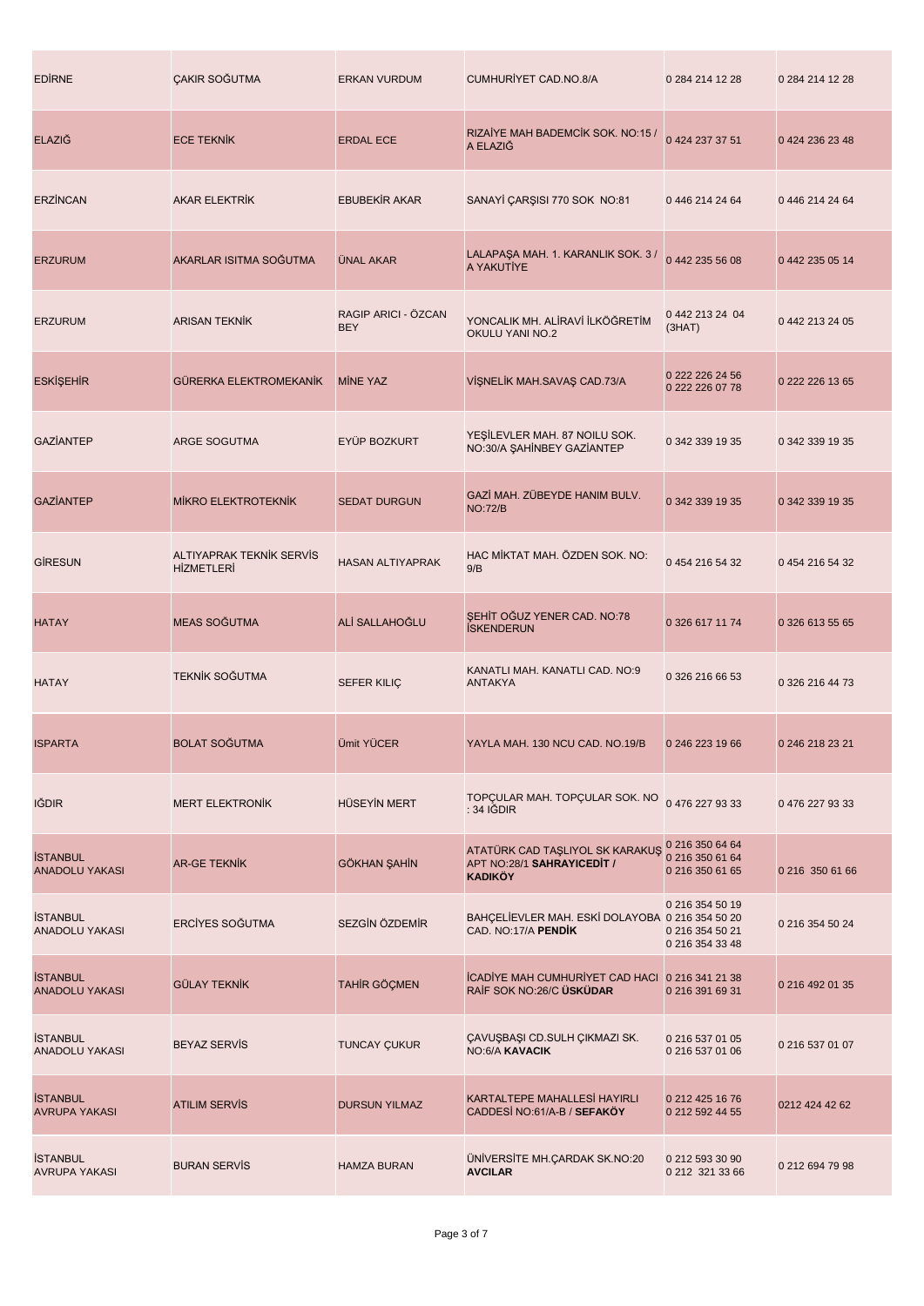| <b>EDIRNE</b>                            | <b>ÇAKIR SOĞUTMA</b>                          | <b>ERKAN VURDUM</b>               | <b>CUMHURİYET CAD.NO.8/A</b>                                                    | 0 284 214 12 28                                       | 0 284 214 12 28 |
|------------------------------------------|-----------------------------------------------|-----------------------------------|---------------------------------------------------------------------------------|-------------------------------------------------------|-----------------|
| <b>ELAZIĞ</b>                            | <b>ECE TEKNIK</b>                             | <b>ERDAL ECE</b>                  | RIZAIYE MAH BADEMCIK SOK. NO:15 /<br>A ELAZIĞ                                   | 0 424 237 37 51                                       | 0 424 236 23 48 |
| <b>ERZINCAN</b>                          | <b>AKAR ELEKTRİK</b>                          | <b>EBUBEKIR AKAR</b>              | SANAYİ ÇARŞISI 770 SOK NO:81                                                    | 0 446 214 24 64                                       | 0 446 214 24 64 |
| <b>ERZURUM</b>                           | AKARLAR ISITMA SOĞUTMA                        | <b>UNAL AKAR</b>                  | LALAPAŞA MAH. 1. KARANLIK SOK. 3 /<br>A YAKUTİYE                                | 0 442 235 56 08                                       | 0 442 235 05 14 |
| <b>ERZURUM</b>                           | <b>ARISAN TEKNIK</b>                          | RAGIP ARICI - ÖZCAN<br><b>BEY</b> | YONCALIK MH. ALİRAVİ İLKÖĞRETİM<br>OKULU YANI NO.2                              | 0 442 213 24 04<br>(3HAT)                             | 0 442 213 24 05 |
| <b>ESKİŞEHİR</b>                         | <b>GÜRERKA ELEKTROMEKANİK</b>                 | <b>MINE YAZ</b>                   | VİŞNELİK MAH.SAVAŞ CAD.73/A                                                     | 0 222 226 24 56<br>0 222 226 07 78                    | 0 222 226 13 65 |
| <b>GAZIANTEP</b>                         | <b>ARGE SOGUTMA</b>                           | EYÜP BOZKURT                      | YEŞİLEVLER MAH. 87 NOILU SOK.<br>NO:30/A ŞAHİNBEY GAZİANTEP                     | 0 342 339 19 35                                       | 0 342 339 19 35 |
| <b>GAZIANTEP</b>                         | <b>MIKRO ELEKTROTEKNIK</b>                    | <b>SEDAT DURGUN</b>               | GAZİ MAH. ZÜBEYDE HANIM BULV.<br><b>NO:72/B</b>                                 | 0 342 339 19 35                                       | 0 342 339 19 35 |
| <b>GİRESUN</b>                           | ALTIYAPRAK TEKNIK SERVIS<br><b>HİZMETLERİ</b> | <b>HASAN ALTIYAPRAK</b>           | HAC MİKTAT MAH. ÖZDEN SOK. NO:<br>9/B                                           | 0 454 216 54 32                                       | 0 454 216 54 32 |
| <b>HATAY</b>                             | MEAS SOĞUTMA                                  | ALİ SALLAHOĞLU                    | SEHIT OGUZ YENER CAD. NO:78<br><b>İSKENDERUN</b>                                | 0 326 617 11 74                                       | 0 326 613 55 65 |
| <b>HATAY</b>                             | TEKNİK SOĞUTMA                                | <b>SEFER KILIÇ</b>                | KANATLI MAH. KANATLI CAD. NO:9<br><b>ANTAKYA</b>                                | 0 326 216 66 53                                       | 0 326 216 44 73 |
| <b>ISPARTA</b>                           | <b>BOLAT SOĞUTMA</b>                          | <b>Ümit YÜCER</b>                 | YAYLA MAH, 130 NCU CAD, NO.19/B                                                 | 0 246 223 19 66                                       | 0 246 218 23 21 |
| <b>IĞDIR</b>                             | <b>MERT ELEKTRONIK</b>                        | <b>HÜSEYİN MERT</b>               | TOPÇULAR MAH. TOPÇULAR SOK. NO<br>$: 34$ IGDIR                                  | 04762279333                                           | 04762279333     |
| <b>İSTANBUL</b><br><b>ANADOLU YAKASI</b> | <b>AR-GE TEKNIK</b>                           | <b>GÖKHAN ŞAHİN</b>               | ATATÜRK CAD TAŞLIYOL SK KARAKUŞ<br>APT NO:28/1 SAHRAYICEDIT /<br><b>KADIKÖY</b> | 0 216 350 64 64<br>0 216 350 61 64<br>0 216 350 61 65 | 0 216 350 61 66 |
| <b>İSTANBUL</b><br><b>ANADOLU YAKASI</b> | ERCÍYES SOĞUTMA                               | SEZGİN ÖZDEMİR                    | BAHÇELİEVLER MAH. ESKİ DOLAYOBA 0 216 354 50 20<br>CAD. NO:17/A PENDIK          | 0 216 354 50 19<br>0 216 354 50 21<br>0 216 354 33 48 | 0 216 354 50 24 |
| <b>İSTANBUL</b><br><b>ANADOLU YAKASI</b> | <b>GÜLAY TEKNİK</b>                           | TAHİR GÖÇMEN                      | ICADIYE MAH CUMHURIYET CAD HACI 0 216 341 21 38<br>RAİF SOK NO:26/C ÜSKÜDAR     | 0 216 391 69 31                                       | 0 216 492 01 35 |
| <b>İSTANBUL</b><br><b>ANADOLU YAKASI</b> | <b>BEYAZ SERVIS</b>                           | <b>TUNCAY ÇUKUR</b>               | ÇAVUŞBAŞI CD.SULH ÇIKMAZI SK.<br><b>NO:6/A KAVACIK</b>                          | 0 216 537 01 05<br>0 216 537 01 06                    | 0 216 537 01 07 |
| <b>İSTANBUL</b><br><b>AVRUPA YAKASI</b>  | <b>ATILIM SERVIS</b>                          | <b>DURSUN YILMAZ</b>              | KARTALTEPE MAHALLESİ HAYIRLI<br>CADDESI NO:61/A-B / SEFAKÖY                     | 0 212 425 16 76<br>0 212 592 44 55                    | 0212 424 42 62  |
| <b>İSTANBUL</b><br><b>AVRUPA YAKASI</b>  | <b>BURAN SERVIS</b>                           | <b>HAMZA BURAN</b>                | ÜNİVERSİTE MH.ÇARDAK SK.NO:20<br><b>AVCILAR</b>                                 | 0 212 593 30 90<br>0 212 321 33 66                    | 0 212 694 79 98 |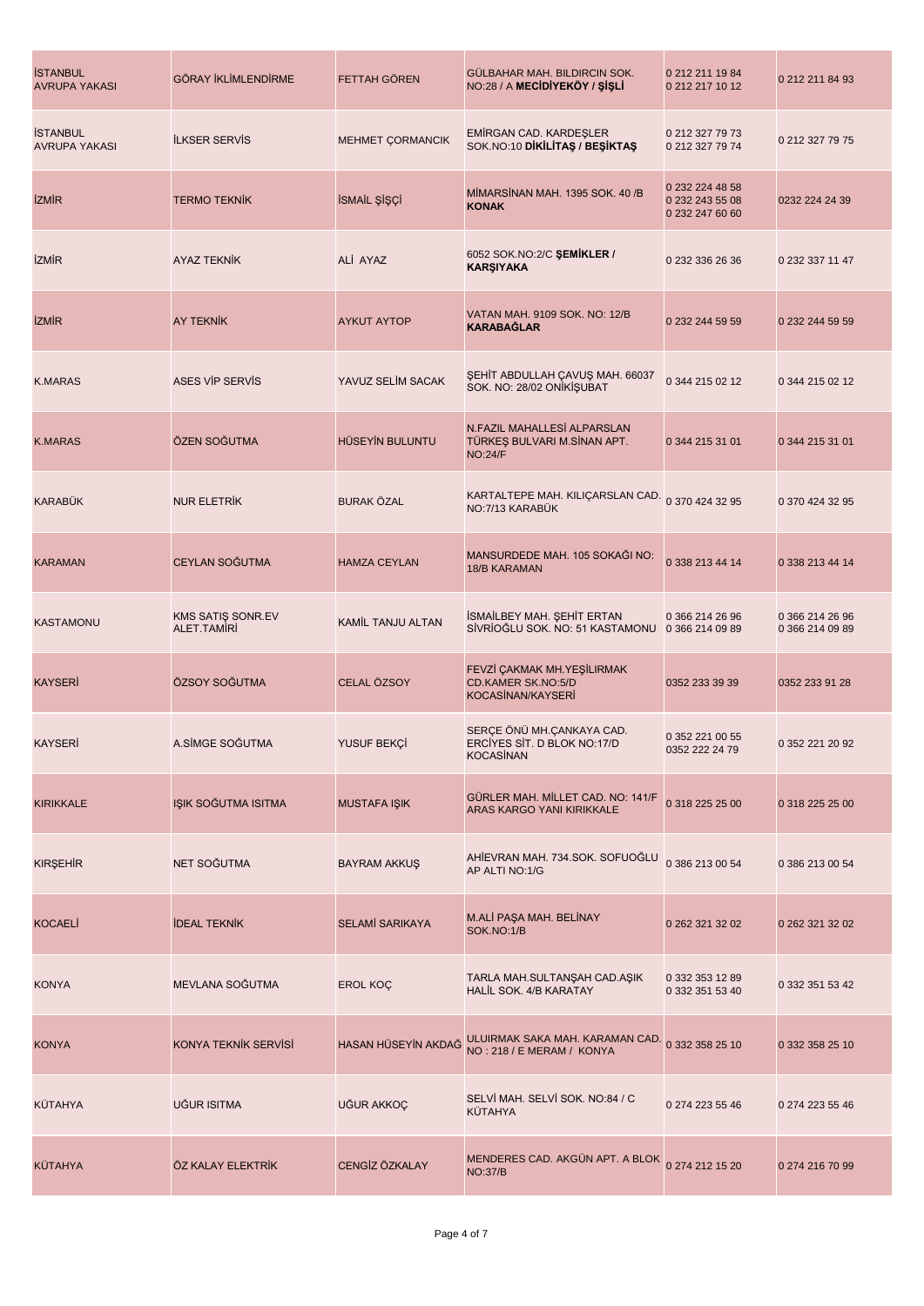| <b>İSTANBUL</b><br><b>AVRUPA YAKASI</b> | <b>GÖRAY İKLİMLENDİRME</b>       | FETTAH GÖREN            | GÜLBAHAR MAH. BILDIRCIN SOK.<br>NO:28 / A MECIDIYEKÖY / ŞİŞLİ                       | 0 212 211 19 84<br>0 212 217 10 12                    | 0 212 211 84 93                    |
|-----------------------------------------|----------------------------------|-------------------------|-------------------------------------------------------------------------------------|-------------------------------------------------------|------------------------------------|
| <b>İSTANBUL</b><br><b>AVRUPA YAKASI</b> | <b>ILKSER SERVIS</b>             | <b>MEHMET ÇORMANCIK</b> | EMIRGAN CAD. KARDEŞLER<br>SOK.NO:10 DIKILITAS / BESIKTAS                            | 0 212 327 79 73<br>0 212 327 79 74                    | 0 212 327 79 75                    |
| <b>İZMİR</b>                            | <b>TERMO TEKNIK</b>              | İSMAİL ŞİŞÇİ            | MİMARSİNAN MAH. 1395 SOK. 40 /B<br><b>KONAK</b>                                     | 0 232 224 48 58<br>0 232 243 55 08<br>0 232 247 60 60 | 0232 224 24 39                     |
| <b>IZMIR</b>                            | AYAZ TEKNİK                      | ALİ AYAZ                | 6052 SOK.NO:2/C ŞEMİKLER /<br><b>KARŞIYAKA</b>                                      | 0 232 336 26 36                                       | 0 232 337 11 47                    |
| <b>İZMİR</b>                            | <b>AY TEKNIK</b>                 | <b>AYKUT AYTOP</b>      | VATAN MAH. 9109 SOK. NO: 12/B<br><b>KARABAĞLAR</b>                                  | 0 232 244 59 59                                       | 0 232 244 59 59                    |
| <b>K.MARAS</b>                          | <b>ASES VIP SERVIS</b>           | YAVUZ SELİM SACAK       | ŞEHİT ABDULLAH ÇAVUŞ MAH. 66037<br>SOK. NO: 28/02 ONİKİŞUBAT                        | 0 344 215 02 12                                       | 0 344 215 02 12                    |
| <b>K.MARAS</b>                          | ÖZEN SOĞUTMA                     | HÜSEYİN BULUNTU         | N.FAZIL MAHALLESİ ALPARSLAN<br>TÜRKEŞ BULVARI M.SİNAN APT.<br><b>NO:24/F</b>        | 0 344 215 31 01                                       | 0 344 215 31 01                    |
| <b>KARABÜK</b>                          | <b>NUR ELETRİK</b>               | <b>BURAK ÖZAL</b>       | KARTALTEPE MAH. KILIÇARSLAN CAD. 0 370 424 32 95<br>NO:7/13 KARABÜK                 |                                                       | 0 370 424 32 95                    |
| <b>KARAMAN</b>                          | CEYLAN SOĞUTMA                   | <b>HAMZA CEYLAN</b>     | MANSURDEDE MAH. 105 SOKAĞI NO:<br><b>18/B KARAMAN</b>                               | 0 338 213 44 14                                       | 0 338 213 44 14                    |
| <b>KASTAMONU</b>                        | KMS SATIŞ SONR.EV<br>ALET.TAMIRI | KAMİL TANJU ALTAN       | İSMAİLBEY MAH. ŞEHİT ERTAN<br>SİVRİOĞLU SOK. NO: 51 KASTAMONU                       | 0 366 214 26 96<br>0 366 214 09 89                    | 0 366 214 26 96<br>0 366 214 09 89 |
| <b>KAYSERİ</b>                          | ÖZSOY SOĞUTMA                    | CELAL ÖZSOY             | FEVZİ ÇAKMAK MH.YEŞİLIRMAK<br><b>CD.KAMER SK.NO:5/D</b><br><b>KOCASİNAN/KAYSERİ</b> | 0352 233 39 39                                        | 0352 233 91 28                     |
| <b>KAYSERI</b>                          | A.SİMGE SOĞUTMA                  | YUSUF BEKÇİ             | SERÇE ÖNÜ MH.ÇANKAYA CAD.<br>ERCIYES SIT. D BLOK NO:17/D<br><b>KOCASİNAN</b>        | 0 352 221 00 55<br>0352 222 24 79                     | 0 352 221 20 92                    |
| <b>KIRIKKALE</b>                        | IŞIK SOĞUTMA ISITMA              | <b>MUSTAFA IŞIK</b>     | GÜRLER MAH. MİLLET CAD. NO: 141/F<br>ARAS KARGO YANI KIRIKKALE                      | 0 318 225 25 00                                       | 0 318 225 25 00                    |
| <b>KIRŞEHİR</b>                         | NET SOĞUTMA                      | <b>BAYRAM AKKUS</b>     | AHİEVRAN MAH. 734.SOK. SOFUOĞLU<br>AP ALTI NO:1/G                                   | 0 386 213 00 54                                       | 0 386 213 00 54                    |
| <b>KOCAELI</b>                          | <b>IDEAL TEKNIK</b>              | <b>SELAMİ SARIKAYA</b>  | M.ALİ PAŞA MAH. BELİNAY<br>SOK.NO:1/B                                               | 0 262 321 32 02                                       | 0 262 321 32 02                    |
| <b>KONYA</b>                            | MEVLANA SOĞUTMA                  | EROL KOÇ                | TARLA MAH.SULTANŞAH CAD.AŞIK<br><b>HALIL SOK. 4/B KARATAY</b>                       | 0 332 353 12 89<br>0 332 351 53 40                    | 0 332 351 53 42                    |
| <b>KONYA</b>                            | KONYA TEKNIK SERVISI             | HASAN HÜSEYİN AKDAĞ     | ULUIRMAK SAKA MAH. KARAMAN CAD. 0 332 358 25 10<br>NO: 218 / E MERAM / KONYA        |                                                       | 0 332 358 25 10                    |
| KÜTAHYA                                 | UĞUR ISITMA                      | UĞUR AKKOÇ              | SELVİ MAH. SELVİ SOK. NO:84 / C<br><b>KÜTAHYA</b>                                   | 0 274 223 55 46                                       | 0 274 223 55 46                    |
| <b>KÜTAHYA</b>                          | ÖZ KALAY ELEKTRİK                | CENGİZ ÖZKALAY          | MENDERES CAD. AKGÜN APT. A BLOK 0 274 212 15 20<br><b>NO:37/B</b>                   |                                                       | 0 274 216 70 99                    |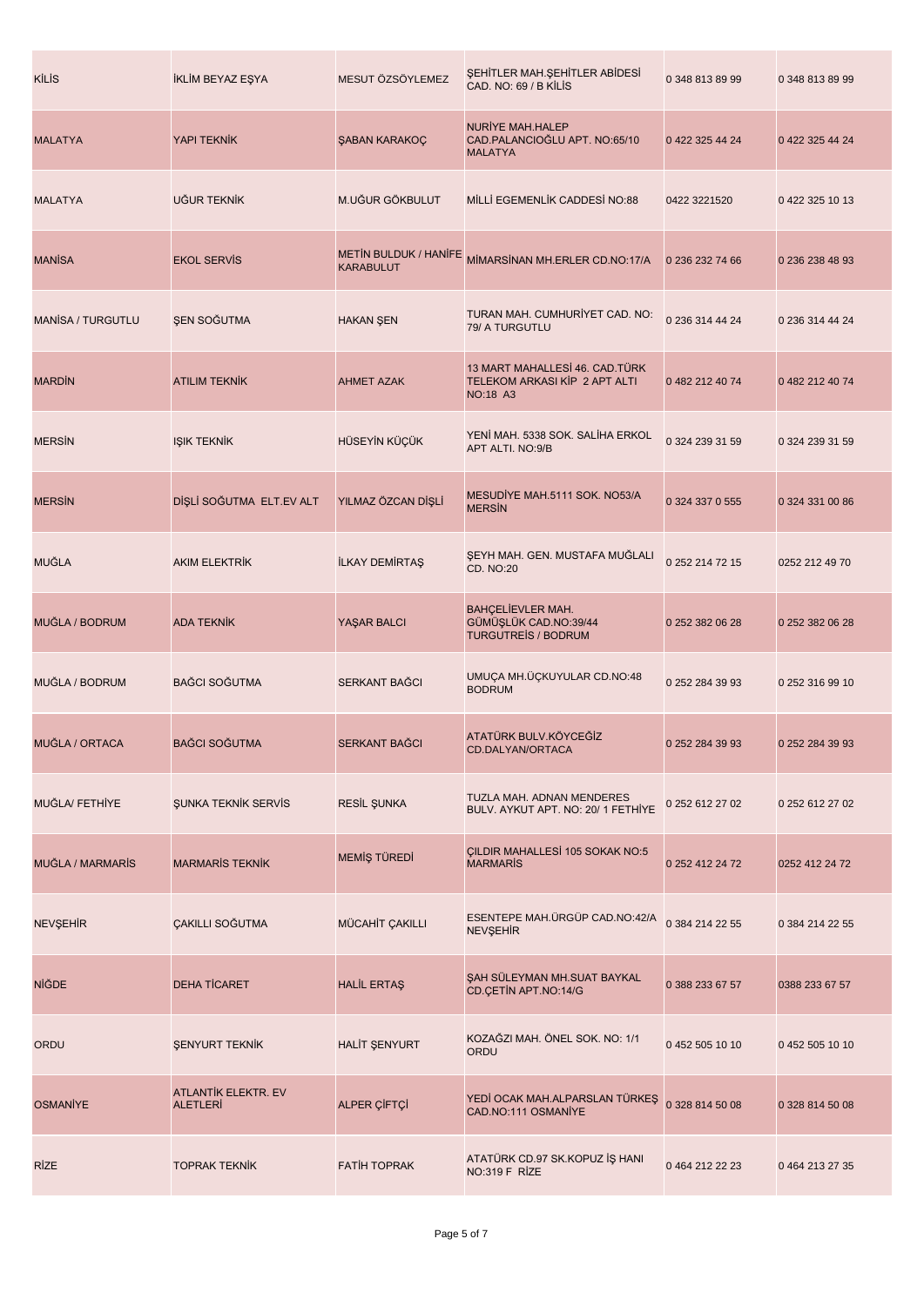| <b>KİLİS</b>             | İKLİM BEYAZ EŞYA                       | MESUT ÖZSÖYLEMEZ                                 | ŞEHİTLER MAH.ŞEHİTLER ABİDESİ<br>CAD. NO: 69 / B KİLİS                             | 0 348 813 89 99 | 0 348 813 89 99 |
|--------------------------|----------------------------------------|--------------------------------------------------|------------------------------------------------------------------------------------|-----------------|-----------------|
| <b>MALATYA</b>           | YAPI TEKNIK                            | ŞABAN KARAKOÇ                                    | NURIYE MAH.HALEP<br>CAD.PALANCIOĞLU APT. NO:65/10<br><b>MALATYA</b>                | 0 422 325 44 24 | 0 422 325 44 24 |
| <b>MALATYA</b>           | UĞUR TEKNİK                            | M.UĞUR GÖKBULUT                                  | MİLLİ EGEMENLİK CADDESİ NO:88                                                      | 0422 3221520    | 0422 325 10 13  |
| <b>MANISA</b>            | <b>EKOL SERVIS</b>                     | <b>METIN BULDUK / HANIFE</b><br><b>KARABULUT</b> | MİMARSİNAN MH.ERLER CD.NO:17/A                                                     | 0 236 232 74 66 | 0 236 238 48 93 |
| <b>MANISA / TURGUTLU</b> | <b>ŞEN SOĞUTMA</b>                     | <b>HAKAN ŞEN</b>                                 | TURAN MAH. CUMHURİYET CAD. NO:<br>79/ A TURGUTLU                                   | 0 236 314 44 24 | 0 236 314 44 24 |
| <b>MARDIN</b>            | <b>ATILIM TEKNİK</b>                   | <b>AHMET AZAK</b>                                | 13 MART MAHALLESİ 46. CAD.TÜRK<br>TELEKOM ARKASI KİP 2 APT ALTI<br><b>NO:18 A3</b> | 0 482 212 40 74 | 0 482 212 40 74 |
| <b>MERSIN</b>            | <b>IŞIK TEKNİK</b>                     | HÜSEYİN KÜÇÜK                                    | YENİ MAH. 5338 SOK. SALİHA ERKOL<br>APT ALTI. NO:9/B                               | 0 324 239 31 59 | 0 324 239 31 59 |
| <b>MERSIN</b>            | DİŞLİ SOĞUTMA ELT.EV ALT               | YILMAZ ÖZCAN DİŞLİ                               | MESUDIYE MAH.5111 SOK. NO53/A<br><b>MERSIN</b>                                     | 0 324 337 0 555 | 0 324 331 00 86 |
| MUĞLA                    | <b>AKIM ELEKTRİK</b>                   | İLKAY DEMİRTAŞ                                   | ŞEYH MAH. GEN. MUSTAFA MUĞLALI<br><b>CD. NO:20</b>                                 | 0 252 214 72 15 | 0252 212 49 70  |
| MUĞLA / BODRUM           | <b>ADA TEKNIK</b>                      | YAŞAR BALCI                                      | <b>BAHÇELİEVLER MAH.</b><br>GÜMÜŞLÜK CAD.NO:39/44<br><b>TURGUTREIS / BODRUM</b>    | 0 252 382 06 28 | 0 252 382 06 28 |
| MUĞLA / BODRUM           | <b>BAĞCI SOĞUTMA</b>                   | SERKANT BAĞCI                                    | UMUÇA MH.ÜÇKUYULAR CD.NO:48<br><b>BODRUM</b>                                       | 0 252 284 39 93 | 0 252 316 99 10 |
| MUĞLA / ORTACA           | <b>BAĞCI SOĞUTMA</b>                   | <b>SERKANT BAGCI</b>                             | ATATÜRK BULV.KÖYCEĞİZ<br>CD.DALYAN/ORTACA                                          | 0 252 284 39 93 | 0 252 284 39 93 |
| MUĞLA/ FETHİYE           | ŞUNKA TEKNİK SERVİS                    | <b>RESİL ŞUNKA</b>                               | TUZLA MAH. ADNAN MENDERES<br>BULV. AYKUT APT. NO: 20/ 1 FETHİYE                    | 0 252 612 27 02 | 0 252 612 27 02 |
| MUĞLA / MARMARİS         | <b>MARMARIS TEKNIK</b>                 | MEMİŞ TÜREDİ                                     | CILDIR MAHALLESİ 105 SOKAK NO:5<br><b>MARMARIS</b>                                 | 0 252 412 24 72 | 0252 412 24 72  |
| <b>NEVŞEHİR</b>          | ÇAKILLI SOĞUTMA                        | MÜCAHİT ÇAKILLI                                  | ESENTEPE MAH. ÜRGÜP CAD. NO: 42/A<br><b>NEVŞEHİR</b>                               | 0 384 214 22 55 | 0 384 214 22 55 |
| <b>NİĞDE</b>             | <b>DEHA TİCARET</b>                    | <b>HALİL ERTAŞ</b>                               | ŞAH SÜLEYMAN MH.SUAT BAYKAL<br>CD.ÇETİN APT.NO:14/G                                | 0 388 233 67 57 | 0388 233 67 57  |
| ORDU                     | <b>ŞENYURT TEKNİK</b>                  | HALIT ŞENYURT                                    | KOZAĞZI MAH. ÖNEL SOK. NO: 1/1<br>ORDU                                             | 0452 505 10 10  | 0 452 505 10 10 |
| <b>OSMANİYE</b>          | ATLANTİK ELEKTR. EV<br><b>ALETLERI</b> | ALPER ÇİFTÇİ                                     | YEDİ OCAK MAH.ALPARSLAN TÜRKEŞ<br>CAD.NO:111 OSMANİYE                              | 0 328 814 50 08 | 0 328 814 50 08 |
| <b>RİZE</b>              | <b>TOPRAK TEKNİK</b>                   | <b>FATIH TOPRAK</b>                              | ATATÜRK CD.97 SK.KOPUZ İŞ HANI<br>NO:319 F RİZE                                    | 04642122223     | 0 464 213 27 35 |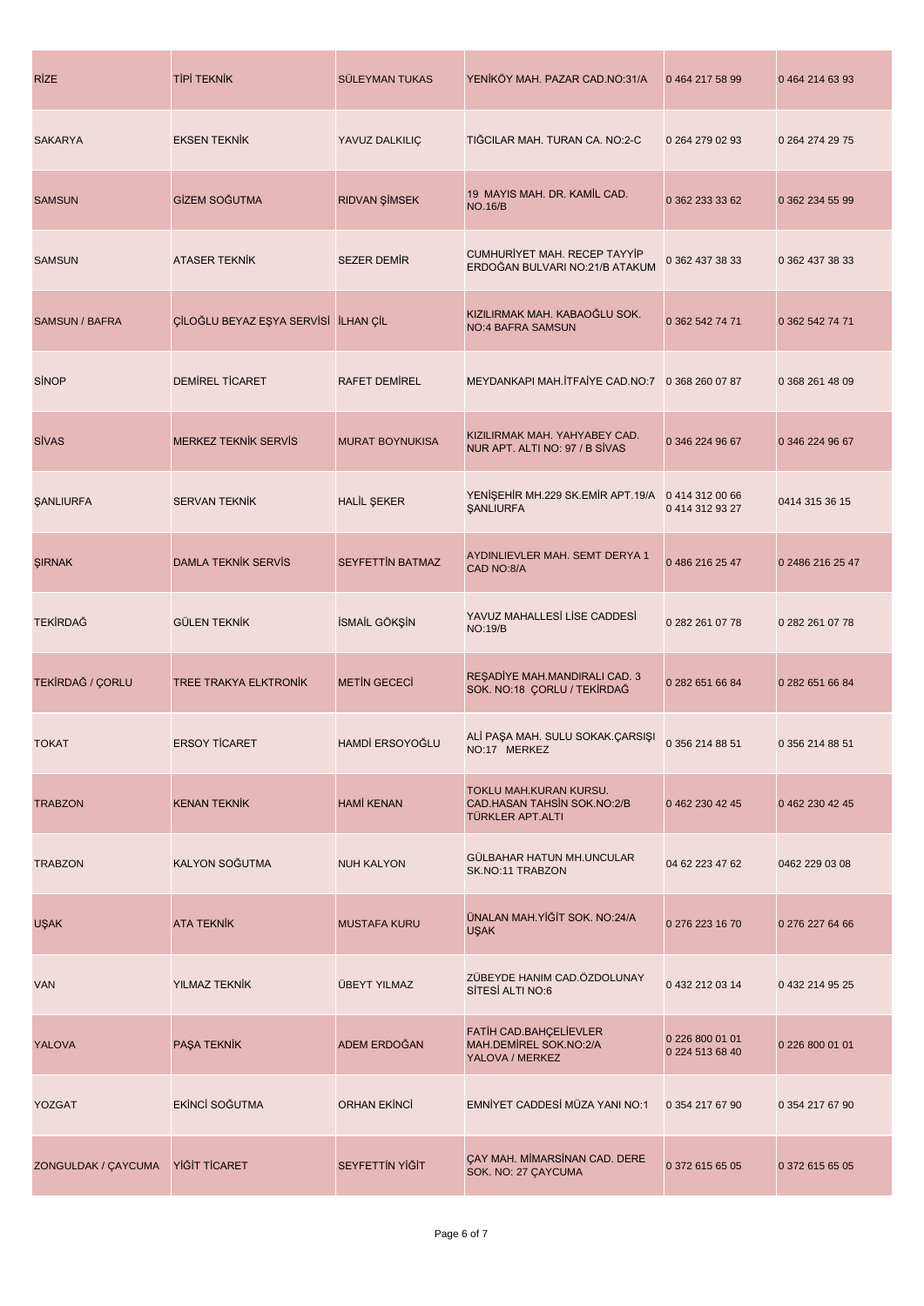| <b>RIZE</b>         | <b>TİPİ TEKNİK</b>                   | <b>SÜLEYMAN TUKAS</b>   | YENİKÖY MAH. PAZAR CAD.NO:31/A                                                   | 0 464 217 58 99                    | 04642146393      |
|---------------------|--------------------------------------|-------------------------|----------------------------------------------------------------------------------|------------------------------------|------------------|
| <b>SAKARYA</b>      | <b>EKSEN TEKNIK</b>                  | YAVUZ DALKILIÇ          | TIĞCILAR MAH. TURAN CA. NO:2-C                                                   | 0 264 279 02 93                    | 0 264 274 29 75  |
| <b>SAMSUN</b>       | GİZEM SOĞUTMA                        | <b>RIDVAN ŞİMSEK</b>    | 19 MAYIS MAH. DR. KAMİL CAD.<br><b>NO.16/B</b>                                   | 0 362 233 33 62                    | 0 362 234 55 99  |
| <b>SAMSUN</b>       | <b>ATASER TEKNIK</b>                 | <b>SEZER DEMIR</b>      | CUMHURİYET MAH. RECEP TAYYİP<br>ERDOĞAN BULVARI NO:21/B ATAKUM                   | 0 362 437 38 33                    | 0 362 437 38 33  |
| SAMSUN / BAFRA      | ÇİLOĞLU BEYAZ EŞYA SERVİSİ İLHAN ÇİL |                         | KIZILIRMAK MAH. KABAOĞLU SOK.<br><b>NO:4 BAFRA SAMSUN</b>                        | 0 362 542 74 71                    | 0 362 542 74 71  |
| <b>SİNOP</b>        | DEMIREL TICARET                      | <b>RAFET DEMIREL</b>    | MEYDANKAPI MAH.İTFAİYE CAD.NO:7                                                  | 0 368 260 07 87                    | 0 368 261 48 09  |
| <b>SİVAS</b>        | <b>MERKEZ TEKNIK SERVIS</b>          | <b>MURAT BOYNUKISA</b>  | KIZILIRMAK MAH. YAHYABEY CAD.<br>NUR APT. ALTI NO: 97 / B SIVAS                  | 0 346 224 96 67                    | 0 346 224 96 67  |
| <b>ŞANLIURFA</b>    | <b>SERVAN TEKNIK</b>                 | <b>HALİL ŞEKER</b>      | YENİŞEHİR MH.229 SK.EMİR APT.19/A<br><b><i>ŞANLIURFA</i></b>                     | 0 414 312 00 66<br>0 414 312 93 27 | 0414 315 36 15   |
| ŞIRNAK              | <b>DAMLA TEKNIK SERVIS</b>           | <b>SEYFETTIN BATMAZ</b> | AYDINLIEVLER MAH. SEMT DERYA 1<br>CAD NO:8/A                                     | 0 486 216 25 47                    | 0 2486 216 25 47 |
| <b>TEKIRDAĞ</b>     | <b>GÜLEN TEKNİK</b>                  | İSMAİL GÖKŞİN           | YAVUZ MAHALLESİ LİSE CADDESİ<br><b>NO:19/B</b>                                   | 0 282 261 07 78                    | 0 282 261 07 78  |
| TEKİRDAĞ / ÇORLU    | <b>TREE TRAKYA ELKTRONIK</b>         | <b>METIN GECECI</b>     | RESADİYE MAH.MANDIRALI CAD. 3<br>SOK. NO:18 ÇORLU / TEKİRDAĞ                     | 0 282 651 66 84                    | 0 282 651 66 84  |
| <b>TOKAT</b>        | <b>ERSOY TICARET</b>                 | HAMDİ ERSOYOĞLU         | ALİ PAŞA MAH. SULU SOKAK.ÇARSIŞI<br>NO:17 MERKEZ                                 | 0 356 214 88 51                    | 0 356 214 88 51  |
| <b>TRABZON</b>      | <b>KENAN TEKNİK</b>                  | <b>HAMİ KENAN</b>       | TOKLU MAH.KURAN KURSU.<br>CAD.HASAN TAHSIN SOK.NO:2/B<br><b>TÜRKLER APT.ALTI</b> | 0 462 230 42 45                    | 0 462 230 42 45  |
| <b>TRABZON</b>      | KALYON SOĞUTMA                       | <b>NUH KALYON</b>       | GÜLBAHAR HATUN MH.UNCULAR<br>SK.NO:11 TRABZON                                    | 04 62 223 47 62                    | 0462 229 03 08   |
| <b>UŞAK</b>         | <b>ATA TEKNIK</b>                    | <b>MUSTAFA KURU</b>     | ÜNALAN MAH.YİĞİT SOK. NO:24/A<br><b>USAK</b>                                     | 0 276 223 16 70                    | 0 276 227 64 66  |
| <b>VAN</b>          | <b>YILMAZ TEKNİK</b>                 | ÜBEYT YILMAZ            | ZÜBEYDE HANIM CAD.ÖZDOLUNAY<br>SİTESİ ALTI NO:6                                  | 0 432 212 03 14                    | 0 432 214 95 25  |
| <b>YALOVA</b>       | PAŞA TEKNİK                          | ADEM ERDOĞAN            | FATIH CAD.BAHÇELİEVLER<br>MAH.DEMIREL SOK.NO:2/A<br>YALOVA / MERKEZ              | 0 226 800 01 01<br>0 224 513 68 40 | 0 226 800 01 01  |
| YOZGAT              | EKİNCİ SOĞUTMA                       | <b>ORHAN EKİNCİ</b>     | EMNİYET CADDESİ MÜZA YANI NO:1                                                   | 0 354 217 67 90                    | 0 354 217 67 90  |
| ZONGULDAK / ÇAYCUMA | YİĞİT TİCARET                        | SEYFETTIN YIĞİT         | <b>ÇAY MAH. MİMARSİNAN CAD. DERE</b><br>SOK. NO: 27 ÇAYCUMA                      | 0 372 615 65 05                    | 0 372 615 65 05  |